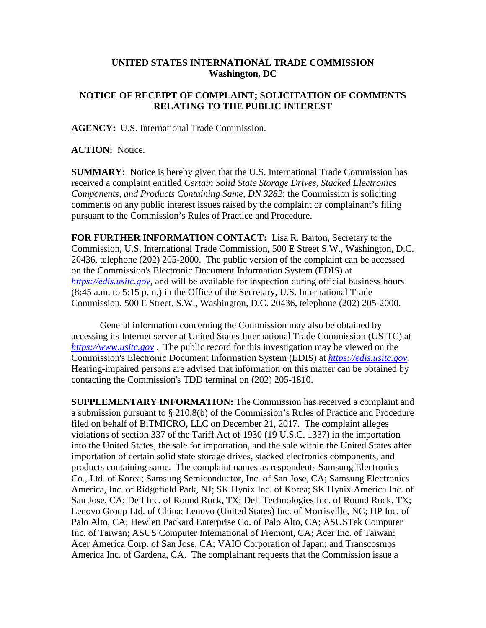## **UNITED STATES INTERNATIONAL TRADE COMMISSION Washington, DC**

## **NOTICE OF RECEIPT OF COMPLAINT; SOLICITATION OF COMMENTS RELATING TO THE PUBLIC INTEREST**

**AGENCY:** U.S. International Trade Commission.

**ACTION:** Notice.

**SUMMARY:** Notice is hereby given that the U.S. International Trade Commission has received a complaint entitled *Certain Solid State Storage Drives, Stacked Electronics Components, and Products Containing Same, DN 3282*; the Commission is soliciting comments on any public interest issues raised by the complaint or complainant's filing pursuant to the Commission's Rules of Practice and Procedure.

**FOR FURTHER INFORMATION CONTACT:** Lisa R. Barton, Secretary to the Commission, U.S. International Trade Commission, 500 E Street S.W., Washington, D.C. 20436, telephone (202) 205-2000. The public version of the complaint can be accessed on the Commission's Electronic Document Information System (EDIS) at *[https://edis.usitc.gov](https://edis.usitc.gov/)*, and will be available for inspection during official business hours (8:45 a.m. to 5:15 p.m.) in the Office of the Secretary, U.S. International Trade Commission, 500 E Street, S.W., Washington, D.C. 20436, telephone (202) 205-2000.

General information concerning the Commission may also be obtained by accessing its Internet server at United States International Trade Commission (USITC) at *[https://www.usitc.gov](https://www.usitc.gov/)* . The public record for this investigation may be viewed on the Commission's Electronic Document Information System (EDIS) at *[https://edis.usitc.gov.](https://edis.usitc.gov/)* Hearing-impaired persons are advised that information on this matter can be obtained by contacting the Commission's TDD terminal on (202) 205-1810.

**SUPPLEMENTARY INFORMATION:** The Commission has received a complaint and a submission pursuant to § 210.8(b) of the Commission's Rules of Practice and Procedure filed on behalf of BiTMICRO, LLC on December 21, 2017. The complaint alleges violations of section 337 of the Tariff Act of 1930 (19 U.S.C. 1337) in the importation into the United States, the sale for importation, and the sale within the United States after importation of certain solid state storage drives, stacked electronics components, and products containing same. The complaint names as respondents Samsung Electronics Co., Ltd. of Korea; Samsung Semiconductor, Inc. of San Jose, CA; Samsung Electronics America, Inc. of Ridgefield Park, NJ; SK Hynix Inc. of Korea; SK Hynix America Inc. of San Jose, CA; Dell Inc. of Round Rock, TX; Dell Technologies Inc. of Round Rock, TX; Lenovo Group Ltd. of China; Lenovo (United States) Inc. of Morrisville, NC; HP Inc. of Palo Alto, CA; Hewlett Packard Enterprise Co. of Palo Alto, CA; ASUSTek Computer Inc. of Taiwan; ASUS Computer International of Fremont, CA; Acer Inc. of Taiwan; Acer America Corp. of San Jose, CA; VAIO Corporation of Japan; and Transcosmos America Inc. of Gardena, CA. The complainant requests that the Commission issue a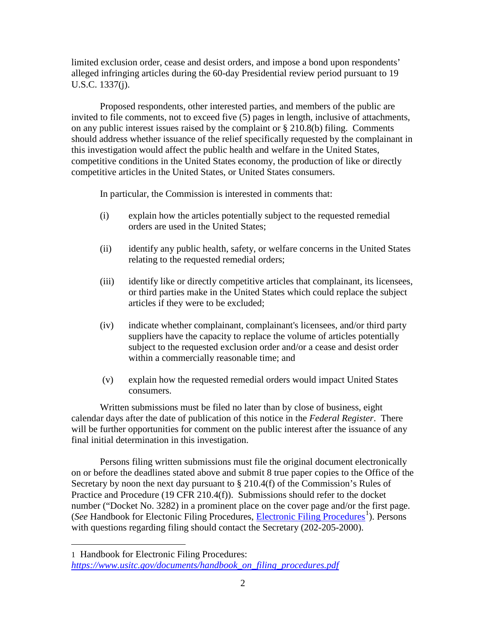limited exclusion order, cease and desist orders, and impose a bond upon respondents' alleged infringing articles during the 60-day Presidential review period pursuant to 19 U.S.C. 1337(j).

Proposed respondents, other interested parties, and members of the public are invited to file comments, not to exceed five (5) pages in length, inclusive of attachments, on any public interest issues raised by the complaint or § 210.8(b) filing. Comments should address whether issuance of the relief specifically requested by the complainant in this investigation would affect the public health and welfare in the United States, competitive conditions in the United States economy, the production of like or directly competitive articles in the United States, or United States consumers.

In particular, the Commission is interested in comments that:

- (i) explain how the articles potentially subject to the requested remedial orders are used in the United States;
- (ii) identify any public health, safety, or welfare concerns in the United States relating to the requested remedial orders;
- (iii) identify like or directly competitive articles that complainant, its licensees, or third parties make in the United States which could replace the subject articles if they were to be excluded;
- (iv) indicate whether complainant, complainant's licensees, and/or third party suppliers have the capacity to replace the volume of articles potentially subject to the requested exclusion order and/or a cease and desist order within a commercially reasonable time; and
- (v) explain how the requested remedial orders would impact United States consumers.

Written submissions must be filed no later than by close of business, eight calendar days after the date of publication of this notice in the *Federal Register*. There will be further opportunities for comment on the public interest after the issuance of any final initial determination in this investigation.

Persons filing written submissions must file the original document electronically on or before the deadlines stated above and submit 8 true paper copies to the Office of the Secretary by noon the next day pursuant to § 210.4(f) of the Commission's Rules of Practice and Procedure (19 CFR 210.4(f)). Submissions should refer to the docket number ("Docket No. 3282) in a prominent place on the cover page and/or the first page. (See Handbook for Electonic Filing Procedures, *Electronic Filing Procedures*<sup>[1](#page-1-0)</sup>). Persons with questions regarding filing should contact the Secretary (202-205-2000).

 $\overline{a}$ 

<span id="page-1-0"></span><sup>1</sup> Handbook for Electronic Filing Procedures: *[https://www.usitc.gov/documents/handbook\\_on\\_filing\\_procedures.pdf](https://www.usitc.gov/documents/handbook_on_filing_procedures.pdf)*